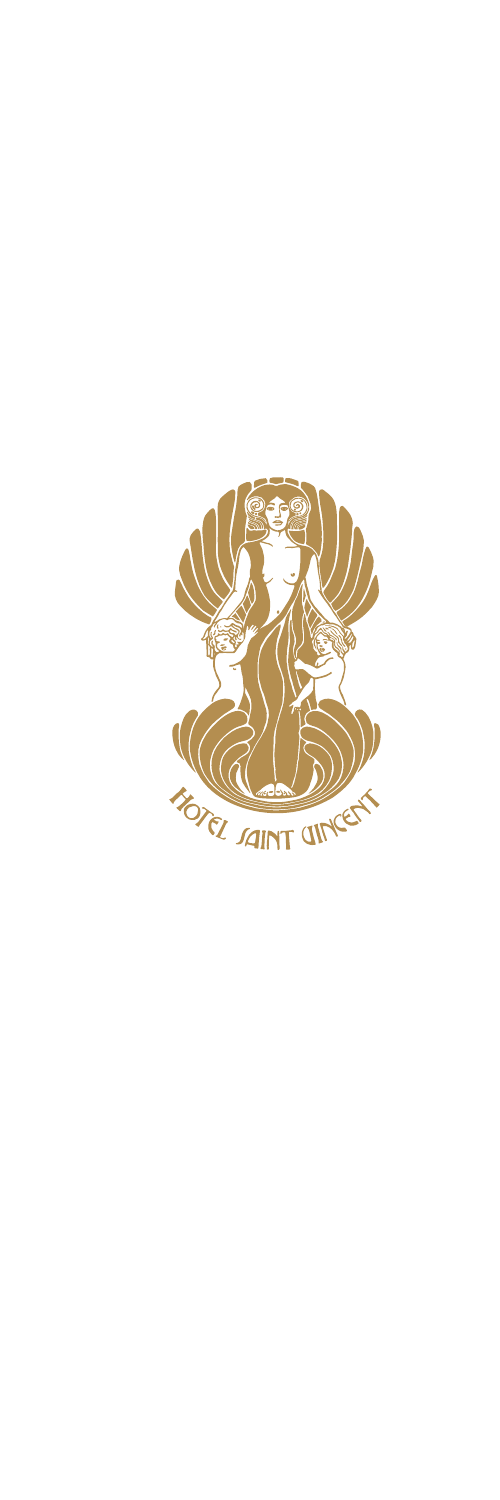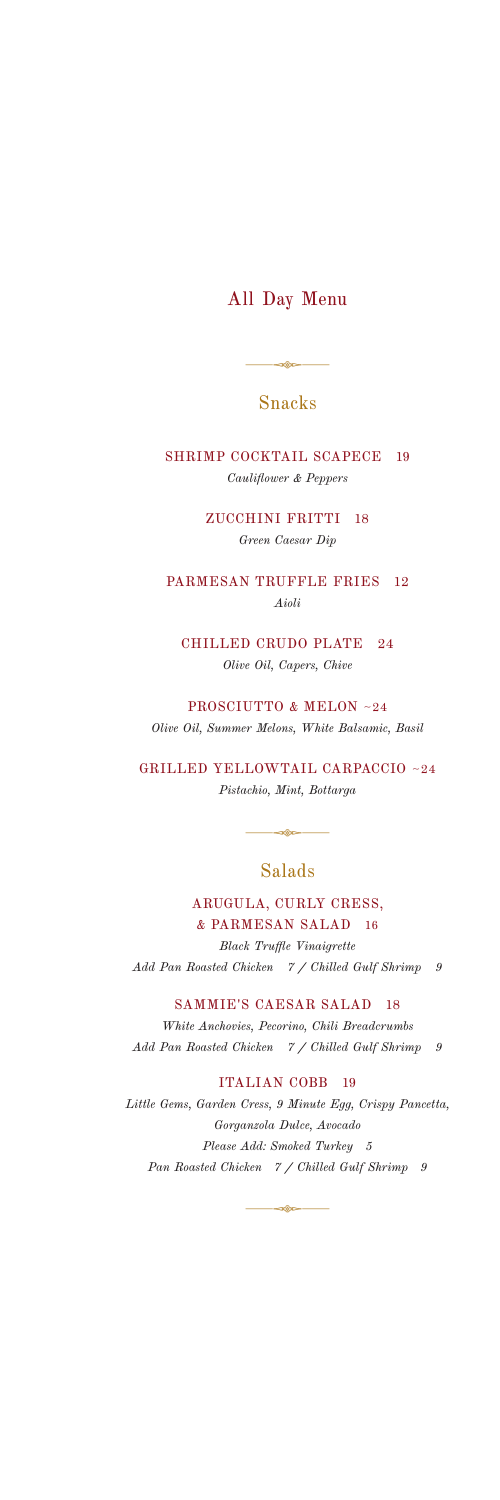# All Day Menu

### Snacks

 $-$ 380  $-$ 

SHRIMP COCKTAIL SCAPECE 19 *Cauliflower & Peppers* 

> ZUCCHINI FRITTI 18 *Green Caesar Dip*

PARMESAN TRUFFLE FRIES 12 *Aioli*

CHILLED CRUDO PLATE 24 *Olive Oil, Capers, Chive*

PROSCIUTTO & MELON ~24 *Olive Oil, Summer Melons, White Balsamic, Basil*

GRILLED YELLOWTAIL CARPACCIO ~24 *Pistachio, Mint, Bottarga*

### Salads

 $-28 -$ 

ARUGULA, CURLY CRESS, & PARMESAN SALAD 16 *Black Truffle Vinaigrette*

*Add Pan Roasted Chicken 7 / Chilled Gulf Shrimp 9*

SAMMIE'S CAESAR SALAD 18

*White Anchovies, Pecorino, Chili Breadcrumbs Add Pan Roasted Chicken 7 / Chilled Gulf Shrimp 9*

ITALIAN COBB 19

*Little Gems, Garden Cress, 9 Minute Egg, Crispy Pancetta, Gorganzola Dulce, Avocado Please Add: Smoked Turkey 5 Pan Roasted Chicken 7 / Chilled Gulf Shrimp 9*

⊲©c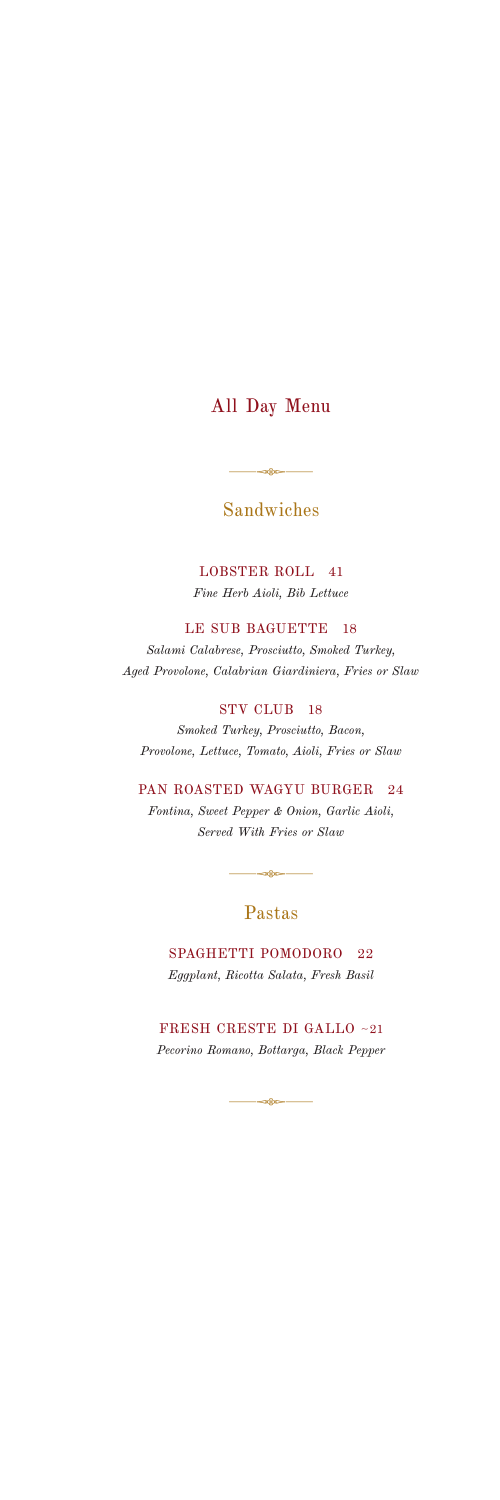# All Day Menu

## Sandwiches

 $-$ 

LOBSTER ROLL 41 *Fine Herb Aioli, Bib Lettuce*

LE SUB BAGUETTE 18 *Salami Calabrese, Prosciutto, Smoked Turkey, Aged Provolone, Calabrian Giardiniera, Fries or Slaw*

#### STV CLUB 18

*Smoked Turkey, Prosciutto, Bacon, Provolone, Lettuce, Tomato, Aioli, Fries or Slaw*

PAN ROASTED WAGYU BURGER 24 *Fontina, Sweet Pepper & Onion, Garlic Aioli, Served With Fries or Slaw*

## Pastas

 $-$ 

SPAGHETTI POMODORO 22 *Eggplant, Ricotta Salata, Fresh Basil*

FRESH CRESTE DI GALLO ~21 *Pecorino Romano, Bottarga, Black Pepper*

 $\rightarrow$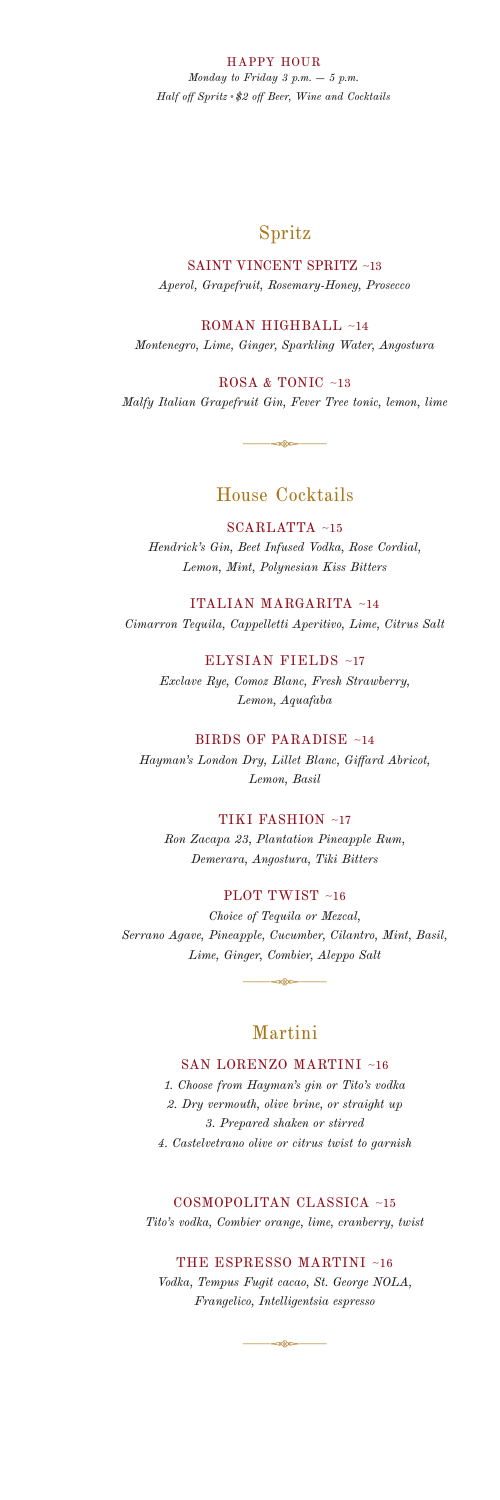HAPPY HOUR

*Monday to Friday 3 p.m. – 5 p.m. Half off Spritz \$2 off Beer, Wine and Cocktails*

### Spritz

SAINT VINCENT SPRITZ ~13 *Aperol, Grapefruit, Rosemary-Honey, Prosecco*

ROMAN HIGHBALL ~14 *Montenegro, Lime, Ginger, Sparkling Water, Angostura*

ROSA & TONIC ~13 *Malfy Italian Grapefruit Gin, Fever Tree tonic, lemon, lime*

 $-\infty$ 

### House Cocktails

SCARLATTA ~15

*Hendrick's Gin, Beet Infused Vodka, Rose Cordial, Lemon, Mint, Polynesian Kiss Bitters*

ITALIAN MARGARITA ~14 *Cimarron Tequila, Cappelletti Aperitivo, Lime, Citrus Salt* 

> ELYSIAN FIELDS ~17 *Exclave Rye, Comoz Blanc, Fresh Strawberry, Lemon, Aquafaba*

BIRDS OF PARADISE ~14 *Hayman's London Dry, Lillet Blanc, Giffard Abricot, Lemon, Basil*

TIKI FASHION ~17

*Ron Zacapa 23, Plantation Pineapple Rum, Demerara, Angostura, Tiki Bitters*

PLOT TWIST ~16

*Choice of Tequila or Mezcal, Serrano Agave, Pineapple, Cucumber, Cilantro, Mint, Basil, Lime, Ginger, Combier, Aleppo Salt*

 $\overbrace{\hspace{40pt}}$ 

### Martini

#### SAN LORENZO MARTINI ~16

*1. Choose from Hayman's gin or Tito's vodka 2. Dry vermouth, olive brine, or straight up 3. Prepared shaken or stirred 4. Castelvetrano olive or citrus twist to garnish*

COSMOPOLITAN CLASSICA ~15

*Tito's vodka, Combier orange, lime, cranberry, twist*

THE ESPRESSO MARTINI ~16

*Vodka, Tempus Fugit cacao, St. George NOLA, Frangelico, Intelligentsia espresso*

<mark>ය</mark>කින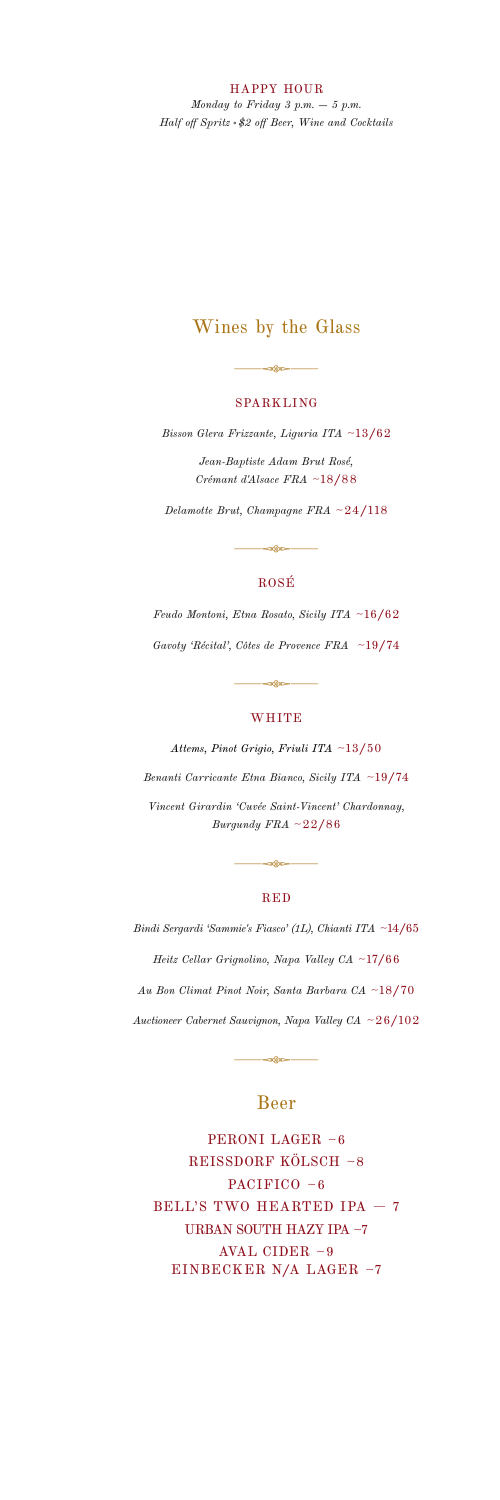HAPPY HOUR

*Monday to Friday 3 p.m. – 5 p.m. Half off Spritz \$2 off Beer, Wine and Cocktails*

## Wines by the Glass

 $\rightarrow$ 

#### SPARKLING

*Bisson Glera Frizzante, Liguria ITA* ~13/62

*Jean-Baptiste Adam Brut Rosé, Crémant d'Alsace FRA* ~18/88

*Delamotte Brut, Champagne FRA*  ~24/118

 $\circ$ 

#### ROSÉ

*Feudo Montoni, Etna Rosato, Sicily ITA* ~16/62 *Gavoty 'Récital', Côtes de Provence FRA* ~19/74

#### **WHITE**

.<br>මෙත

*Attems, Pinot Grigio, Friuli ITA* ~13/50 *Benanti Carricante Etna Bianco, Sicily ITA* ~19/74 *Vincent Girardin 'Cuvée Saint-Vincent' Chardonnay, Burgundy FRA*  ~22/86

#### RED

.<br>පැදිාස

*Bindi Sergardi 'Sammie's Fiasco' (1L), Chianti ITA* ~14/65 *Heitz Cellar Grignolino, Napa Valley CA* ~17/66 *Au Bon Climat Pinot Noir, Santa Barbara CA* ~18/70 *Auctioneer Cabernet Sauvignon, Napa Valley CA* ~26/102

#### Beer

PERONI LAGER ~6 REISSDORF KÖLSCH ~8 PACIFICO ~6 BELL'S TWO HEARTED IPA  $-7$ URBAN SOUTH HAZY IPA ~7 AVAL CIDER ~9 EINBECKER N/A LAGER ~7